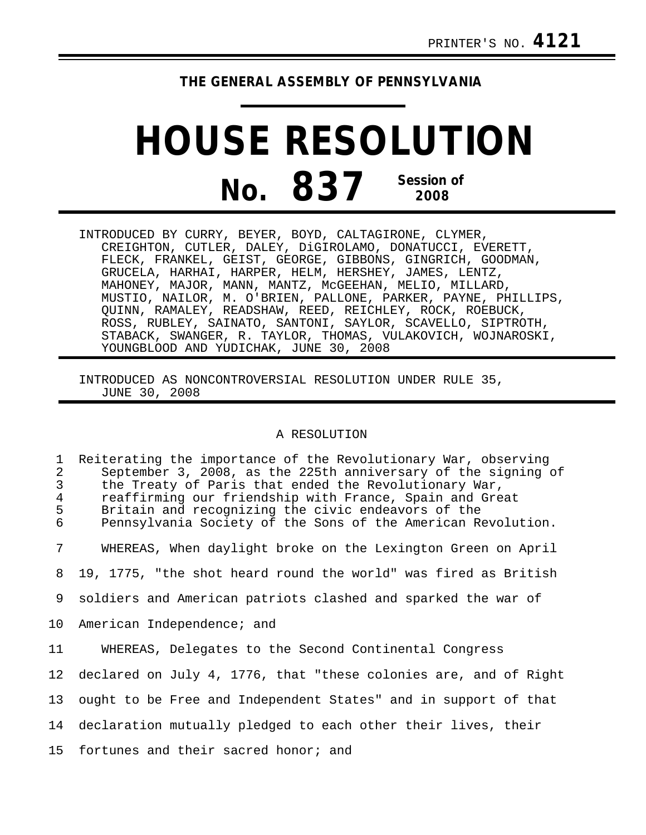## **THE GENERAL ASSEMBLY OF PENNSYLVANIA**

## **HOUSE RESOLUTION No. 837 Session of 2008**

INTRODUCED BY CURRY, BEYER, BOYD, CALTAGIRONE, CLYMER, CREIGHTON, CUTLER, DALEY, DiGIROLAMO, DONATUCCI, EVERETT, FLECK, FRANKEL, GEIST, GEORGE, GIBBONS, GINGRICH, GOODMAN, GRUCELA, HARHAI, HARPER, HELM, HERSHEY, JAMES, LENTZ, MAHONEY, MAJOR, MANN, MANTZ, McGEEHAN, MELIO, MILLARD, MUSTIO, NAILOR, M. O'BRIEN, PALLONE, PARKER, PAYNE, PHILLIPS, QUINN, RAMALEY, READSHAW, REED, REICHLEY, ROCK, ROEBUCK, ROSS, RUBLEY, SAINATO, SANTONI, SAYLOR, SCAVELLO, SIPTROTH, STABACK, SWANGER, R. TAYLOR, THOMAS, VULAKOVICH, WOJNAROSKI, YOUNGBLOOD AND YUDICHAK, JUNE 30, 2008

INTRODUCED AS NONCONTROVERSIAL RESOLUTION UNDER RULE 35, JUNE 30, 2008

## A RESOLUTION

| $\mathbf{1}$<br>$\overline{a}$<br>$\mathfrak{Z}$<br>$\overline{4}$<br>5<br>6 | Reiterating the importance of the Revolutionary War, observing<br>September 3, 2008, as the 225th anniversary of the signing of<br>the Treaty of Paris that ended the Revolutionary War,<br>reaffirming our friendship with France, Spain and Great<br>Britain and recognizing the civic endeavors of the<br>Pennsylvania Society of the Sons of the American Revolution. |
|------------------------------------------------------------------------------|---------------------------------------------------------------------------------------------------------------------------------------------------------------------------------------------------------------------------------------------------------------------------------------------------------------------------------------------------------------------------|
| 7                                                                            | WHEREAS, When daylight broke on the Lexington Green on April                                                                                                                                                                                                                                                                                                              |
| 8                                                                            | 19, 1775, "the shot heard round the world" was fired as British                                                                                                                                                                                                                                                                                                           |
| 9                                                                            | soldiers and American patriots clashed and sparked the war of                                                                                                                                                                                                                                                                                                             |
| 10                                                                           | American Independence; and                                                                                                                                                                                                                                                                                                                                                |
| 11                                                                           | WHEREAS, Delegates to the Second Continental Congress                                                                                                                                                                                                                                                                                                                     |
|                                                                              | 12 declared on July 4, 1776, that "these colonies are, and of Right                                                                                                                                                                                                                                                                                                       |
| 13                                                                           | ought to be Free and Independent States" and in support of that                                                                                                                                                                                                                                                                                                           |
|                                                                              | 14 declaration mutually pledged to each other their lives, their                                                                                                                                                                                                                                                                                                          |
|                                                                              | 15 fortunes and their sacred honor; and                                                                                                                                                                                                                                                                                                                                   |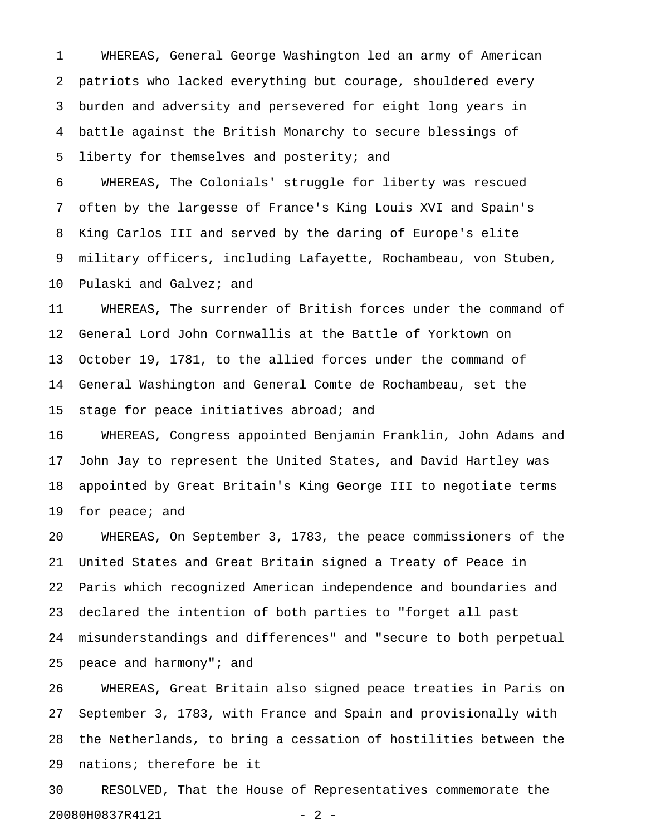1 WHEREAS, General George Washington led an army of American 2 patriots who lacked everything but courage, shouldered every 3 burden and adversity and persevered for eight long years in 4 battle against the British Monarchy to secure blessings of 5 liberty for themselves and posterity; and

6 WHEREAS, The Colonials' struggle for liberty was rescued 7 often by the largesse of France's King Louis XVI and Spain's 8 King Carlos III and served by the daring of Europe's elite 9 military officers, including Lafayette, Rochambeau, von Stuben, 10 Pulaski and Galvez; and

11 WHEREAS, The surrender of British forces under the command of 12 General Lord John Cornwallis at the Battle of Yorktown on 13 October 19, 1781, to the allied forces under the command of 14 General Washington and General Comte de Rochambeau, set the 15 stage for peace initiatives abroad; and

16 WHEREAS, Congress appointed Benjamin Franklin, John Adams and 17 John Jay to represent the United States, and David Hartley was 18 appointed by Great Britain's King George III to negotiate terms 19 for peace; and

20 WHEREAS, On September 3, 1783, the peace commissioners of the 21 United States and Great Britain signed a Treaty of Peace in 22 Paris which recognized American independence and boundaries and 23 declared the intention of both parties to "forget all past 24 misunderstandings and differences" and "secure to both perpetual 25 peace and harmony"; and

26 WHEREAS, Great Britain also signed peace treaties in Paris on 27 September 3, 1783, with France and Spain and provisionally with 28 the Netherlands, to bring a cessation of hostilities between the 29 nations; therefore be it

30 RESOLVED, That the House of Representatives commemorate the 20080H0837R4121 - 2 -